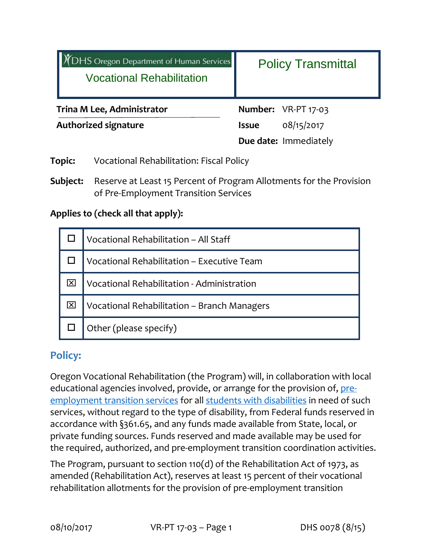| DHS Oregon Department of Human Services<br><b>Vocational Rehabilitation</b> |                                                 | <b>Policy Transmittal</b> |                       |
|-----------------------------------------------------------------------------|-------------------------------------------------|---------------------------|-----------------------|
| <b>Trina M Lee, Administrator</b>                                           |                                                 |                           | Number: VR-PT 17-03   |
| <b>Authorized signature</b>                                                 |                                                 | <b>Issue</b>              | 08/15/2017            |
|                                                                             |                                                 |                           | Due date: Immediately |
| <b>Topic:</b>                                                               | <b>Vocational Rehabilitation: Fiscal Policy</b> |                           |                       |

**Subject:** Reserve at Least 15 Percent of Program Allotments for the Provision of Pre‐Employment Transition Services

#### **Applies to (check all that apply):**

| Vocational Rehabilitation - All Staff       |  |  |
|---------------------------------------------|--|--|
| Vocational Rehabilitation - Executive Team  |  |  |
| Vocational Rehabilitation - Administration  |  |  |
| Vocational Rehabilitation - Branch Managers |  |  |
| Other (please specify)                      |  |  |

### **Policy:**

Oregon Vocational Rehabilitation (the Program) will, in collaboration with local educational agencies involved, provide, or arrange for the provision of, preemployment transition services for all students with disabilities in need of such services, without regard to the type of disability, from Federal funds reserved in accordance with §361.65, and any funds made available from State, local, or private funding sources. Funds reserved and made available may be used for the required, authorized, and pre‐employment transition coordination activities.

The Program, pursuant to section 110(d) of the Rehabilitation Act of 1973, as amended (Rehabilitation Act), reserves at least 15 percent of their vocational rehabilitation allotments for the provision of pre‐employment transition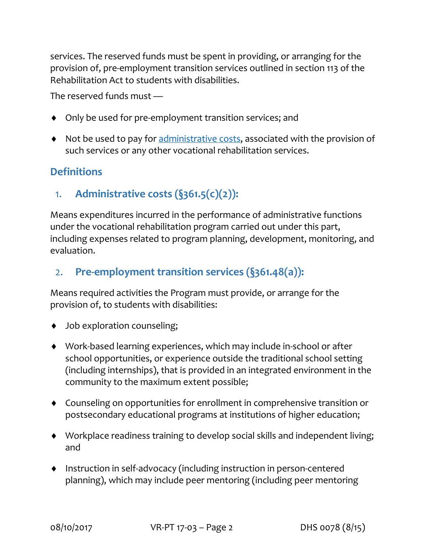services. The reserved funds must be spent in providing, or arranging for the provision of, pre‐employment transition services outlined in section 113 of the Rehabilitation Act to students with disabilities.

The reserved funds must —

- ◆ Only be used for pre-employment transition services; and
- Not be used to pay for administrative costs, associated with the provision of such services or any other vocational rehabilitation services.

## **Definitions**

1. **Administrative costs (§361.5(c)(2)):**

Means expenditures incurred in the performance of administrative functions under the vocational rehabilitation program carried out under this part, including expenses related to program planning, development, monitoring, and evaluation.

## 2. **Pre‐employment transition services (§361.48(a)):**

Means required activities the Program must provide, or arrange for the provision of, to students with disabilities:

- ◆ Job exploration counseling;
- ◆ Work-based learning experiences, which may include in-school or after school opportunities, or experience outside the traditional school setting (including internships), that is provided in an integrated environment in the community to the maximum extent possible;
- Counseling on opportunities for enrollment in comprehensive transition or postsecondary educational programs at institutions of higher education;
- Workplace readiness training to develop social skills and independent living; and
- Instruction in self‐advocacy (including instruction in person‐centered planning), which may include peer mentoring (including peer mentoring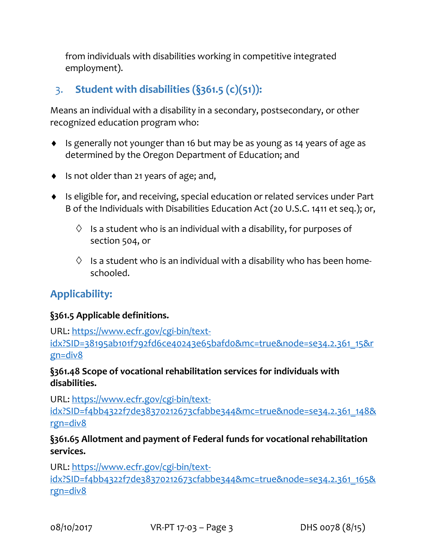from individuals with disabilities working in competitive integrated employment).

# 3. **Student with disabilities (§361.5 (c)(51)):**

Means an individual with a disability in a secondary, postsecondary, or other recognized education program who:

- Is generally not younger than 16 but may be as young as 14 years of age as determined by the Oregon Department of Education; and
- ◆ Is not older than 21 years of age; and,
- Is eligible for, and receiving, special education or related services under Part B of the Individuals with Disabilities Education Act (20 U.S.C. 1411 et seq.); or,
	- $\Diamond$  Is a student who is an individual with a disability, for purposes of section 504, or
	- $\Diamond$  Is a student who is an individual with a disability who has been homeschooled.

## **Applicability:**

#### **§361.5 Applicable definitions.**

URL: https://www.ecfr.gov/cgi‐bin/text‐ idx?SID=38195ab101f792fd6ce40243e65bafd0&mc=true&node=se34.2.361\_15&r gn=div8

#### **§361.48 Scope of vocational rehabilitation services for individuals with disabilities.**

URL: https://www.ecfr.gov/cgi‐bin/text‐ idx?SID=f4bb4322f7de38370212673cfabbe344&mc=true&node=se34.2.361\_148& rgn=div8

#### **§361.65 Allotment and payment of Federal funds for vocational rehabilitation services.**

URL: https://www.ecfr.gov/cgi-bin/textidx?SID=f4bb4322f7de38370212673cfabbe344&mc=true&node=se34.2.361\_165& rgn=div8